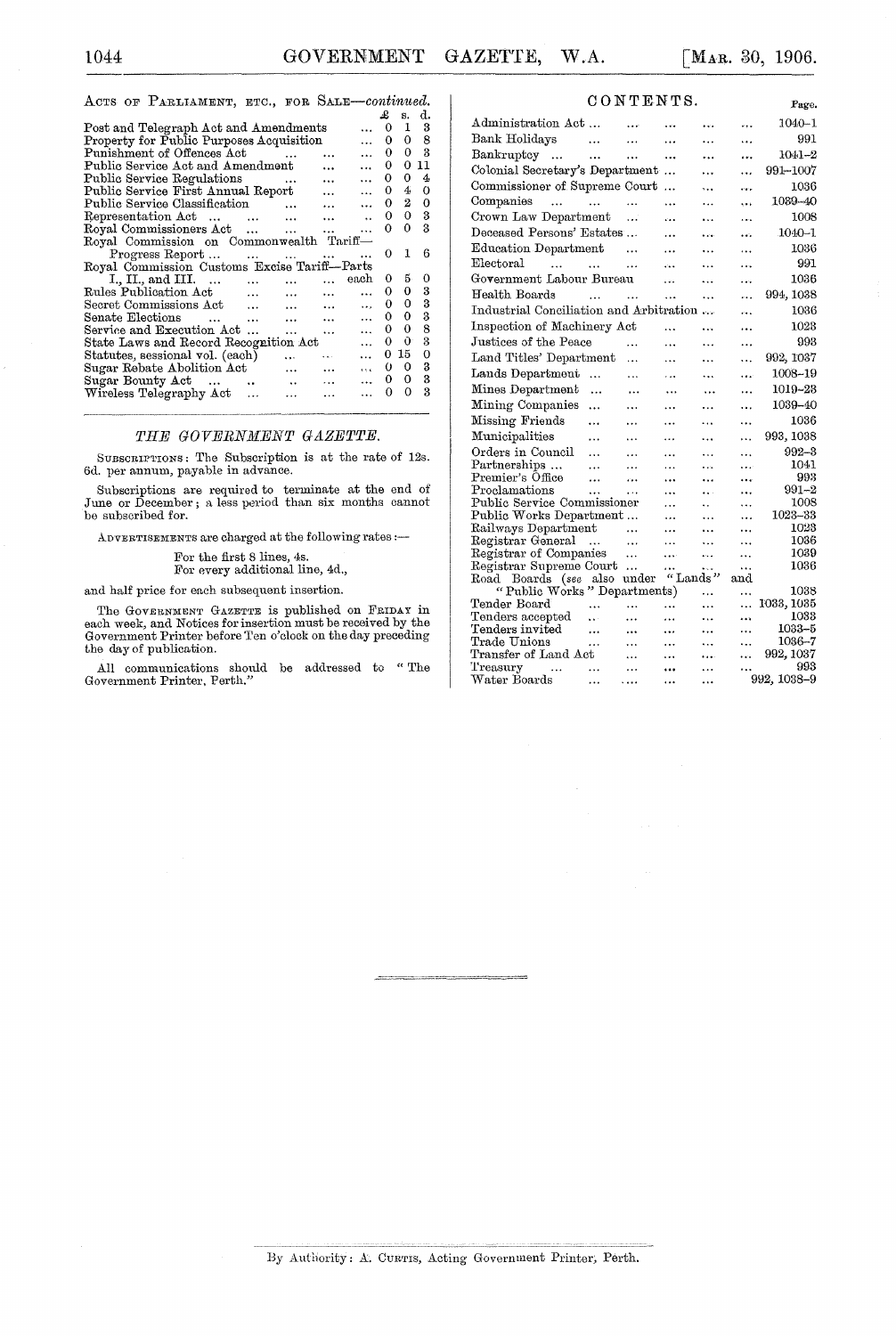#### ACTS OF PARLIAMENT, ETC., FOR SALE-continued.

|                                                                               | £  | <b>S.</b> | d.  |  |  |  |  |  |  |  |
|-------------------------------------------------------------------------------|----|-----------|-----|--|--|--|--|--|--|--|
| Post and Telegraph Act and Amendments<br>$\ddotsc$                            | 0  |           | 1 3 |  |  |  |  |  |  |  |
|                                                                               |    |           |     |  |  |  |  |  |  |  |
| Property for Public Purposes Acquisition<br>$\ddot{\phantom{a}}$              | 0  | 0.        | 8   |  |  |  |  |  |  |  |
| Punishment of Offences Act<br>$\ddot{\phantom{a}}$<br>$\ddot{\phantom{a}}$    | 0  | 0         | 3   |  |  |  |  |  |  |  |
| Public Service Act and Amendment<br>$\ddotsc$<br>$\ddotsc$                    | 0  | 0         | 11  |  |  |  |  |  |  |  |
| Public Service Regulations<br>$\ddotsc$<br>$\ddotsc$<br>$\cdots$              | 0  | 0         | 4   |  |  |  |  |  |  |  |
| Public Service First Annual Report<br>$\ddotsc$<br>$\ddotsc$                  | 0  | 4         | 0   |  |  |  |  |  |  |  |
| Public Service Classification<br>$\sim$ $\sim$<br>$\ddotsc$<br>$\cdots$       | 0  | $^{2}$    | 0   |  |  |  |  |  |  |  |
| Representation Act<br>$\ddotsc$<br>$\ddot{\phantom{a}}$                       | 0  | 0.        | 3   |  |  |  |  |  |  |  |
| Royal Commissioners Act<br>$\ddotsc$<br>$\cdots$                              | о  | 0         | 3   |  |  |  |  |  |  |  |
| Royal Commission on Commonwealth Tariff-                                      |    |           |     |  |  |  |  |  |  |  |
| Progress Report<br>and the contract of the state of the state of              | 0  | 1         | 6   |  |  |  |  |  |  |  |
| Royal Commission Customs Excise Tariff--Parts                                 |    |           |     |  |  |  |  |  |  |  |
| each<br>I., II., and III.<br>$\cdots$<br>$\cdots$<br>$\sim$ $\sim$            | 0  | 5.        | 0   |  |  |  |  |  |  |  |
| Rules Publication Act<br>$\cdots$<br>$\ddotsc$<br>$\ddotsc$<br>$\cdots$       | 0  | 0         | 3   |  |  |  |  |  |  |  |
| Secret Commissions Act<br>$\ddotsc$<br>$\mathbf{r}$<br>$\cdots$               | 0. | 0         | 3   |  |  |  |  |  |  |  |
| Senate Elections<br>$\sim$                                                    | 0. | 0         | 3   |  |  |  |  |  |  |  |
| <b>Contract Contract</b><br>$\cdots$<br>$\ddotsc$<br>$\ddotsc$                |    |           |     |  |  |  |  |  |  |  |
| Service and Execution Act<br>$\ddotsc$<br>$\ddotsc$<br>$\ddotsc$<br>$\ddotsc$ | 0. | 0         | 8   |  |  |  |  |  |  |  |
| State Laws and Record Recognition Act<br>$\ddotsc$                            | 0  | 0.        | 3   |  |  |  |  |  |  |  |
| Statutes, sessional vol. (each)<br>.<br><b>CANCER</b><br>$\ddotsc$            | 0  | 15        | 0   |  |  |  |  |  |  |  |
| Sugar Rebate Abolition Act<br>$\cdots$<br>$\ddotsc$<br>$\cdots$               | o  | 0         | 3   |  |  |  |  |  |  |  |
| Sugar Bounty Act<br>$\ddotsc$<br>$\cdots$<br>$\sim$<br>.                      | 0. | 0         | 3   |  |  |  |  |  |  |  |
| Wireless Telegraphy Act<br>$\cdots$<br>$\ddotsc$<br>.                         | 0  | 0         | 3   |  |  |  |  |  |  |  |
|                                                                               |    |           |     |  |  |  |  |  |  |  |

### THE GOVERNMENT GAZETTE.

SUBSCRIPTIONS: The Subscription is at the rate of 12s. 6d. per annum, payable in advance.

SUbscriptions are required to terminate at the end of June or December; a less period than six months cannot be subscribed for.

ADVERTISEMENTS are charged at the following rates :--

For the first 8 lines, 4s. For every additional line, 4d.,

and half price for each subsequent insertion.

The GOVERNMENT GAZETTE is published on FRIDAY in each week, and Notices for insertion must be received by the Government Printer before Ten o'clock on the day preceding the day of publication.

All communications should be addressed to "The Government Printer, Perth."

| CONTENTS. |  |
|-----------|--|
|-----------|--|

| CONTENTS.<br>Page.                             |               |           |           |                      |          |                    |  |  |  |
|------------------------------------------------|---------------|-----------|-----------|----------------------|----------|--------------------|--|--|--|
| Administration Act                             |               | $\cdots$  | .         | .                    |          | 1040-1             |  |  |  |
| Bank Holidays                                  | $\ddotsc$     | $\ddotsc$ |           | .                    |          | 991                |  |  |  |
| Bankruptcy<br>$\sim$                           | $\ddotsc$     | .         |           | .                    |          | 1041–2             |  |  |  |
| Colonial Secretary's Department                |               |           |           |                      | .        | 991–1007           |  |  |  |
| Commissioner of Supreme Court                  |               |           | .         | .                    | ومحاد    | 1036               |  |  |  |
| Companies<br>$\ddotsc$                         | $\sim$ $\sim$ | .         |           |                      | ووو      | 1039-40            |  |  |  |
| Crown Law Department                           |               | $\ldots$  |           | وبرو                 | .        | 1008               |  |  |  |
| Deceased Persons' Estates                      |               |           |           |                      |          | 1040–1             |  |  |  |
| Education Department                           |               | .         | $\ddotsc$ | .                    | .        | 1036               |  |  |  |
| ${\rm Electoral}$<br>$\cdots$<br>$\sim$ $\sim$ |               | .         | $\ddotsc$ | .                    | .        | 991                |  |  |  |
| Government Labour Bureau                       |               |           | $\ddotsc$ | .                    | .        | 1036               |  |  |  |
| Health Boards                                  | $\cdots$      | $\ddotsc$ | $\cdots$  |                      |          | 994, 1038          |  |  |  |
| Industrial Conciliation and Arbitration        |               |           |           |                      |          | 1036               |  |  |  |
| Inspection of Machinery Act                    |               |           | $\cdots$  | .                    |          | 1028               |  |  |  |
| Justices of the Peace                          |               |           | $\cdots$  | .                    | .        | 993                |  |  |  |
| Land Titles' Department                        |               | $\cdots$  | .         |                      |          | 992, 1037          |  |  |  |
| Lands Department                               | $\ddotsc$     | .         | .         | .                    | .        | 1008-19            |  |  |  |
| Mines Department                               | $\ddotsc$     |           | .         |                      |          | 1019-28            |  |  |  |
| Mining Companies                               | $\cdots$      | .         |           | .                    | .        | 1039-40            |  |  |  |
| Missing Friends                                |               |           |           |                      |          | 1036               |  |  |  |
| Municipalities                                 |               | .         | .         | .                    | .        | 993, 1038          |  |  |  |
| Orders in Council                              | $\cdots$      | .         |           | .                    | .        | 992–3              |  |  |  |
| Partnerships                                   | .<br>$\cdots$ | .<br>.    | <br>.     | .<br>.               | <br>.    | 1041               |  |  |  |
| Premier's Office                               |               | .,        |           |                      |          | 993                |  |  |  |
| Proclamations                                  | $\ddotsc$     | $\ddotsc$ | .         |                      |          | $991 - 2$          |  |  |  |
| Public Service Commissioner                    |               |           | $\ddotsc$ | $\ddot{\phantom{a}}$ |          | 1008               |  |  |  |
| Public Works Department                        |               |           |           | .                    |          | 1023-33            |  |  |  |
| Railways Department                            |               | $\ddotsc$ | .         | .                    |          | 1023               |  |  |  |
| Registrar General                              | $\sim$        | .         | $\cdots$  |                      | .        | 1036               |  |  |  |
| Registrar of Companies                         |               | $\ddotsc$ |           | .                    |          | 1039               |  |  |  |
| Registrar Supreme Court                        |               |           | .         | ω.                   | .        | 1036               |  |  |  |
| Road Boards (see                               | also          | under     | "Lands"   |                      | and      |                    |  |  |  |
| "Public Works" Departments)                    |               |           |           |                      | $\cdots$ | 1038               |  |  |  |
| Tender Board<br>Tenders accepted               | .             | .         |           |                      |          | 1033, 1035<br>1033 |  |  |  |
| Tenders invited                                | $\ddotsc$     |           |           | .<br>.               | <br>     | $1033 - 5$         |  |  |  |
| Trade Unions                                   | $\ddotsc$     |           | .         |                      |          | 1086-7             |  |  |  |
| Transfer of Land Act                           | $\cdots$      | .         |           |                      | <br>.    | 992, 1037          |  |  |  |
| Treasury                                       | $\cdots$      | .         |           |                      |          | 993                |  |  |  |
| Water Boards                                   |               | .         | $\cdots$  | .                    |          | 992, 1038-9        |  |  |  |
|                                                |               |           |           |                      |          |                    |  |  |  |